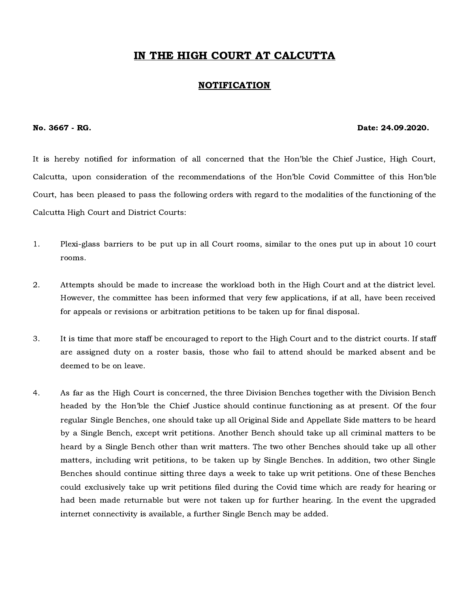## IN THE HIGH COURT AT CALCUTTA

## NOTIFICATION

## No. 3667 - RG. Date: 24.09.2020.

It is hereby notified for information of all concerned that the Hon'ble the Chief Justice, High Court, Calcutta, upon consideration of the recommendations of the Hon'ble Covid Committee of this Hon'ble Court, has been pleased to pass the following orders with regard to the modalities of the functioning of the Calcutta High Court and District Courts:

- 1. Plexi-glass barriers to be put up in all Court rooms, similar to the ones put up in about 10 court rooms.
- 2. Attempts should be made to increase the workload both in the High Court and at the district level. However, the committee has been informed that very few applications, if at all, have been received for appeals or revisions or arbitration petitions to be taken up for final disposal.
- 3. It is time that more staff be encouraged to report to the High Court and to the district courts. If staff are assigned duty on a roster basis, those who fail to attend should be marked absent and be deemed to be on leave.
- 4. As far as the High Court is concerned, the three Division Benches together with the Division Bench headed by the Hon'ble the Chief Justice should continue functioning as at present. Of the four regular Single Benches, one should take up all Original Side and Appellate Side matters to be heard by a Single Bench, except writ petitions. Another Bench should take up all criminal matters to be heard by a Single Bench other than writ matters. The two other Benches should take up all other matters, including writ petitions, to be taken up by Single Benches. In addition, two other Single Benches should continue sitting three days a week to take up writ petitions. One of these Benches could exclusively take up writ petitions filed during the Covid time which are ready for hearing or had been made returnable but were not taken up for further hearing. In the event the upgraded internet connectivity is available, a further Single Bench may be added.